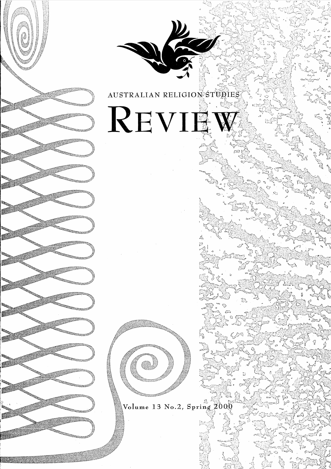

AUSTRALIAN RELIGION STUPI ΕŜ

 $REVIEW$ 



Volume 13 No.2, Spring 200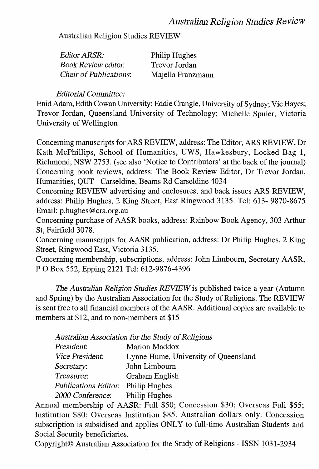### *Australian Religion Studies Review*

Australian Religion Studies REVIEW

| Editor ARSR:                  | Philip Hughes     |
|-------------------------------|-------------------|
| <b>Book Review editor.</b>    | Trevor Jordan     |
| <b>Chair of Publications:</b> | Majella Franzmann |

#### *Editorial Committee:*

Enid Adam, Edith Cowan University; Eddie Crangle, University of Sydney; Vic Hayes; Trevor Jordan, Queensland University of Technology; Michelle Spuler, Victoria University of Wellington

Concerning manuscripts for ARS REVIEW, address: The Editor, ARS REVIEW, Dr Kath McPhillips, School of Humanities, UWS, Hawkesbury, Locked Bag 1, Richmond, NSW 2753. (see also 'Notice to Contributors' at the back of the journal) Concerning book reviews, address: The Book Review Editor, Dr Trevor Jordan, Humanities, QUT - Carseldine, Beams Rd Carseldine 4034

Concerning REVIEW advertising and enclosures, and back issues ARS REVIEW, address: Philip Hughes, 2 King Street, East Ringwood 3135. Tel: 613- 9870-8675 Email: p.hughes@cra.org.au

Concerning purchase of AASR books, address: Rainbow Book Agency, 303 Arthur St, Fairfield 3078.

Concerning manuscripts for AASR publication, address: Dr Philip Hughes, 2 King Street, Ringwood East, Victoria 3135.

Concerning membership, subscriptions, address: John Limbourn, Secretary AASR, P 0 Box 552, Epping 2121 Tel: 612-9876-4396

The *Australian Religion Studies REVIEW* is published twice a year (Autumn and Spring) by the Australian Association for the Study of Religions. The REVIEW is sent free to all financial members of the AASR. Additional copies are available to members at \$12, and to non-members at \$15

*Australian Association for the Study of Religions* 

| President:             | Marion Maddox                        |
|------------------------|--------------------------------------|
| <i>Vice President:</i> | Lynne Hume, University of Queensland |
| Secretary:             | John Limbourn                        |
| Treasurer.             | Graham English                       |
| Publications Editor:   | Philip Hughes                        |
| 2000 Conference:       | Philip Hughes                        |

Annual membership of AASR: Full \$50; Concession \$30; Overseas Full \$55; Institution \$80; Overseas Institution \$85. Australian dollars only. Concession subscription is subsidised and applies ONLY to full-time Australian Students and Social Security beneficiaries.

Copyright© Australian Association for the Study of Religions - ISSN 1031-2934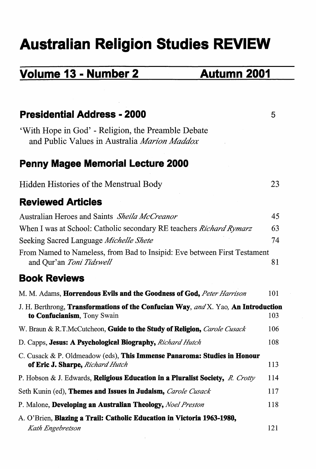# **Australian Religion Studies REVIEW**

## **Volume 13 - Number 2 Autumn 2001**

| <b>Presidential Address - 2000</b>                                                                                               | 5   |
|----------------------------------------------------------------------------------------------------------------------------------|-----|
| 'With Hope in God' - Religion, the Preamble Debate<br>and Public Values in Australia Marion Maddox                               |     |
| <b>Penny Magee Memorial Lecture 2000</b>                                                                                         |     |
| Hidden Histories of the Menstrual Body                                                                                           | 23  |
| <b>Reviewed Articles</b>                                                                                                         |     |
| Australian Heroes and Saints Sheila McCreanor                                                                                    | 45  |
| When I was at School: Catholic secondary RE teachers <i>Richard Rymarz</i>                                                       | 63  |
| Seeking Sacred Language Michelle Shete                                                                                           | 74  |
| From Named to Nameless, from Bad to Insipid: Eve between First Testament<br>and Qur'an Toni Tidswell                             | 81  |
| <b>Book Reviews</b>                                                                                                              |     |
| M. M. Adams, <b>Horrendous Evils and the Goodness of God,</b> Peter Harrison                                                     | 101 |
| J. H. Berthrong, <b>Transformations of the Confucian Way</b> , and X. Yao, <b>An Introduction</b><br>to Confucianism, Tony Swain | 103 |
| W. Braun & R.T.McCutcheon, Guide to the Study of Religion, Carole Cusack                                                         | 106 |
| D. Capps, Jesus: A Psychological Biography, Richard Hutch                                                                        | 108 |
| C. Cusack & P. Oldmeadow (eds), This Immense Panaroma: Studies in Honour<br>of Eric J. Sharpe, Richard Hutch                     | 113 |
| P. Hobson & J. Edwards, Religious Education in a Pluralist Society, R. Crotty                                                    | 114 |
| Seth Kunin (ed), Themes and Issues in Judaism, Carole Cusack                                                                     | 117 |
| P. Malone, Developing an Australian Theology, Noel Preston                                                                       | 118 |
| A. O'Brien, Blazing a Trail: Catholic Education in Victoria 1963-1980,<br>Kath Engebretson                                       | 121 |